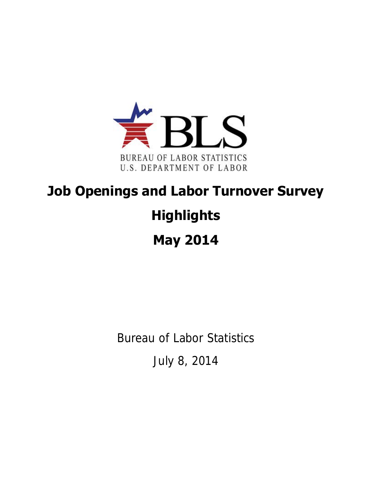

## **Job Openings and Labor Turnover Survey Highlights May 2014**

Bureau of Labor Statistics

July 8, 2014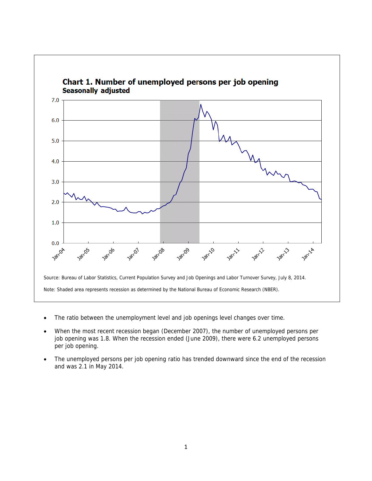

- The ratio between the unemployment level and job openings level changes over time.
- When the most recent recession began (December 2007), the number of unemployed persons per job opening was 1.8. When the recession ended (June 2009), there were 6.2 unemployed persons per job opening.
- The unemployed persons per job opening ratio has trended downward since the end of the recession and was 2.1 in May 2014.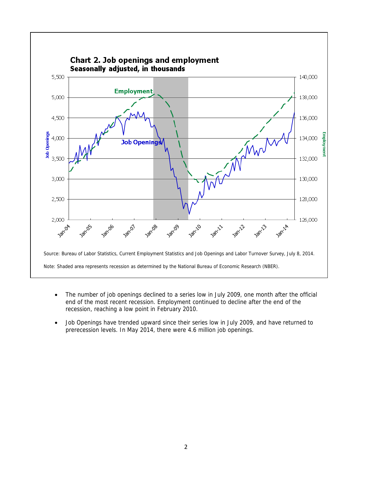

- The number of job openings declined to a series low in July 2009, one month after the official end of the most recent recession. Employment continued to decline after the end of the recession, reaching a low point in February 2010.
- Job Openings have trended upward since their series low in July 2009, and have returned to prerecession levels. In May 2014, there were 4.6 million job openings.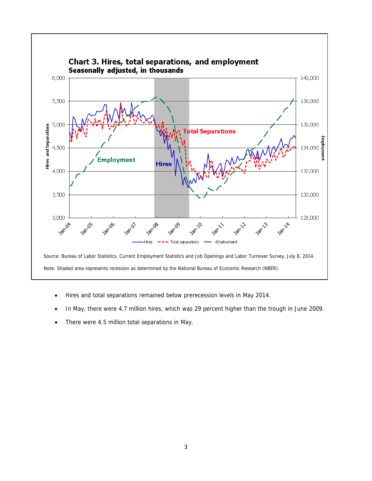

- Hires and total separations remained below prerecession levels in May 2014.
- In May, there were 4.7 million hires, which was 29 percent higher than the trough in June 2009.
- There were 4.5 million total separations in May.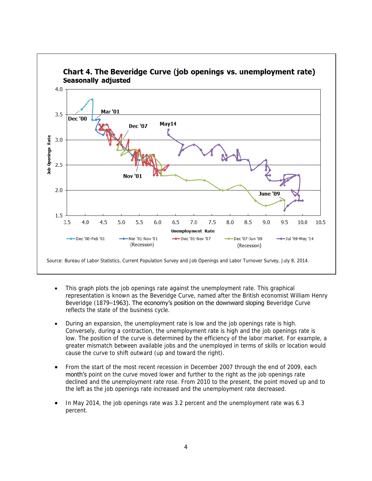

- This graph plots the job openings rate against the unemployment rate. This graphical representation is known as the Beveridge Curve, named after the British economist William Henry Beveridge (1879–1963). The economy's position on the downward sloping Beveridge Curve reflects the state of the business cycle.
- During an expansion, the unemployment rate is low and the job openings rate is high. Conversely, during a contraction, the unemployment rate is high and the job openings rate is low. The position of the curve is determined by the efficiency of the labor market. For example, a greater mismatch between available jobs and the unemployed in terms of skills or location would cause the curve to shift outward (up and toward the right).
- From the start of the most recent recession in December 2007 through the end of 2009, each month's point on the curve moved lower and further to the right as the job openings rate declined and the unemployment rate rose. From 2010 to the present, the point moved up and to the left as the job openings rate increased and the unemployment rate decreased.
- In May 2014, the job openings rate was 3.2 percent and the unemployment rate was 6.3 percent.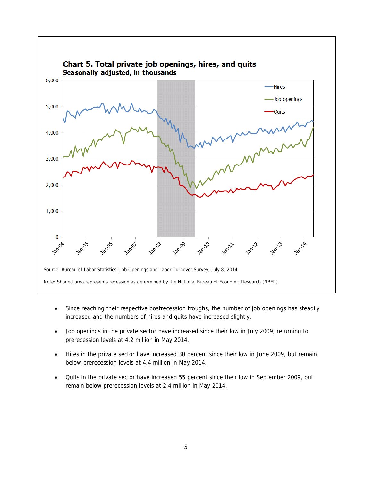

- Since reaching their respective postrecession troughs, the number of job openings has steadily increased and the numbers of hires and quits have increased slightly.
- Job openings in the private sector have increased since their low in July 2009, returning to prerecession levels at 4.2 million in May 2014.
- Hires in the private sector have increased 30 percent since their low in June 2009, but remain below prerecession levels at 4.4 million in May 2014.
- Quits in the private sector have increased 55 percent since their low in September 2009, but remain below prerecession levels at 2.4 million in May 2014.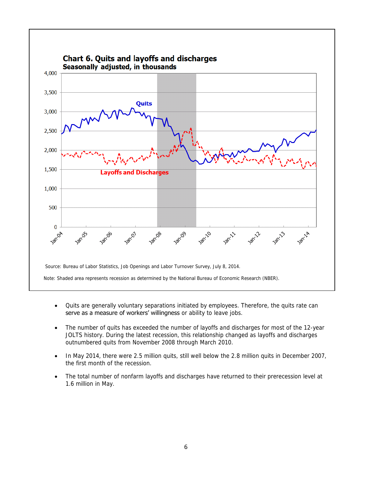

- Quits are generally voluntary separations initiated by employees. Therefore, the quits rate can serve as a measure of workers' willingness or ability to leave jobs.
- The number of quits has exceeded the number of layoffs and discharges for most of the 12-year JOLTS history. During the latest recession, this relationship changed as layoffs and discharges outnumbered quits from November 2008 through March 2010.
- In May 2014, there were 2.5 million quits, still well below the 2.8 million quits in December 2007, the first month of the recession.
- The total number of nonfarm layoffs and discharges have returned to their prerecession level at 1.6 million in May.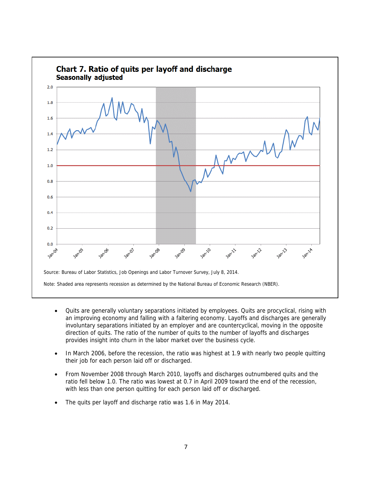

- Quits are generally voluntary separations initiated by employees. Quits are procyclical, rising with an improving economy and falling with a faltering economy. Layoffs and discharges are generally involuntary separations initiated by an employer and are countercyclical, moving in the opposite direction of quits. The ratio of the number of quits to the number of layoffs and discharges provides insight into churn in the labor market over the business cycle.
- In March 2006, before the recession, the ratio was highest at 1.9 with nearly two people quitting their job for each person laid off or discharged.
- From November 2008 through March 2010, layoffs and discharges outnumbered quits and the ratio fell below 1.0. The ratio was lowest at 0.7 in April 2009 toward the end of the recession, with less than one person quitting for each person laid off or discharged.
- The quits per layoff and discharge ratio was 1.6 in May 2014.